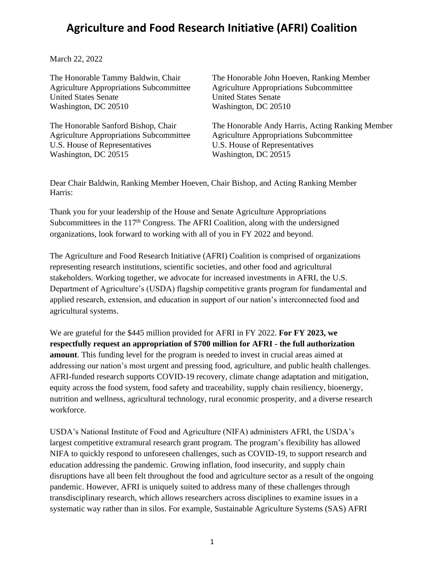## **Agriculture and Food Research Initiative (AFRI) Coalition**

March 22, 2022

United States Senate United States Senate Washington, DC 20510 Washington, DC 20510

Agriculture Appropriations Subcommittee Agriculture Appropriations Subcommittee U.S. House of Representatives U.S. House of Representatives Washington, DC 20515 Washington, DC 20515

The Honorable Tammy Baldwin, Chair The Honorable John Hoeven, Ranking Member Agriculture Appropriations Subcommittee Agriculture Appropriations Subcommittee

The Honorable Sanford Bishop, Chair The Honorable Andy Harris, Acting Ranking Member

Dear Chair Baldwin, Ranking Member Hoeven, Chair Bishop, and Acting Ranking Member Harris:

Thank you for your leadership of the House and Senate Agriculture Appropriations Subcommittees in the 117<sup>th</sup> Congress. The AFRI Coalition, along with the undersigned organizations, look forward to working with all of you in FY 2022 and beyond.

The Agriculture and Food Research Initiative (AFRI) Coalition is comprised of organizations representing research institutions, scientific societies, and other food and agricultural stakeholders. Working together, we advocate for increased investments in AFRI, the U.S. Department of Agriculture's (USDA) flagship competitive grants program for fundamental and applied research, extension, and education in support of our nation's interconnected food and agricultural systems.

We are grateful for the \$445 million provided for AFRI in FY 2022. **For FY 2023, we respectfully request an appropriation of \$700 million for AFRI - the full authorization amount**. This funding level for the program is needed to invest in crucial areas aimed at addressing our nation's most urgent and pressing food, agriculture, and public health challenges. AFRI-funded research supports COVID-19 recovery, climate change adaptation and mitigation, equity across the food system, food safety and traceability, supply chain resiliency, bioenergy, nutrition and wellness, agricultural technology, rural economic prosperity, and a diverse research workforce.

USDA's National Institute of Food and Agriculture (NIFA) administers AFRI, the USDA's largest competitive extramural research grant program. The program's flexibility has allowed NIFA to quickly respond to unforeseen challenges, such as COVID-19, to support research and education addressing the pandemic. Growing inflation, food insecurity, and supply chain disruptions have all been felt throughout the food and agriculture sector as a result of the ongoing pandemic. However, AFRI is uniquely suited to address many of these challenges through transdisciplinary research, which allows researchers across disciplines to examine issues in a systematic way rather than in silos. For example, Sustainable Agriculture Systems (SAS) AFRI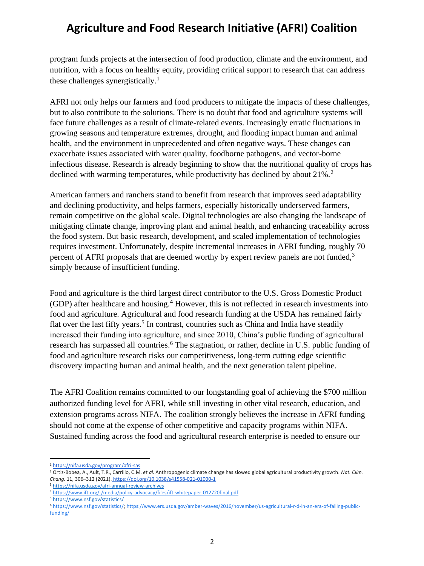## **Agriculture and Food Research Initiative (AFRI) Coalition**

program funds projects at the intersection of food production, climate and the environment, and nutrition, with a focus on healthy equity, providing critical support to research that can address these challenges synergistically.<sup>1</sup>

AFRI not only helps our farmers and food producers to mitigate the impacts of these challenges, but to also contribute to the solutions. There is no doubt that food and agriculture systems will face future challenges as a result of climate-related events. Increasingly erratic fluctuations in growing seasons and temperature extremes, drought, and flooding impact human and animal health, and the environment in unprecedented and often negative ways. These changes can exacerbate issues associated with water quality, foodborne pathogens, and vector-borne infectious disease. Research is already beginning to show that the nutritional quality of crops has declined with warming temperatures, while productivity has declined by about 21%.<sup>2</sup>

American farmers and ranchers stand to benefit from research that improves seed adaptability and declining productivity, and helps farmers, especially historically underserved farmers, remain competitive on the global scale. Digital technologies are also changing the landscape of mitigating climate change, improving plant and animal health, and enhancing traceability across the food system. But basic research, development, and scaled implementation of technologies requires investment. Unfortunately, despite incremental increases in AFRI funding, roughly 70 percent of AFRI proposals that are deemed worthy by expert review panels are not funded,<sup>3</sup> simply because of insufficient funding.

Food and agriculture is the third largest direct contributor to the U.S. Gross Domestic Product  $(GDP)$  after healthcare and housing.<sup>4</sup> However, this is not reflected in research investments into food and agriculture. Agricultural and food research funding at the USDA has remained fairly flat over the last fifty years.<sup>5</sup> In contrast, countries such as China and India have steadily increased their funding into agriculture, and since 2010, China's public funding of agricultural research has surpassed all countries.<sup>6</sup> The stagnation, or rather, decline in U.S. public funding of food and agriculture research risks our competitiveness, long-term cutting edge scientific discovery impacting human and animal health, and the next generation talent pipeline.

The AFRI Coalition remains committed to our longstanding goal of achieving the \$700 million authorized funding level for AFRI, while still investing in other vital research, education, and extension programs across NIFA. The coalition strongly believes the increase in AFRI funding should not come at the expense of other competitive and capacity programs within NIFA. Sustained funding across the food and agricultural research enterprise is needed to ensure our

<sup>1</sup> <https://nifa.usda.gov/program/afri-sas>

<sup>2</sup> Ortiz-Bobea, A., Ault, T.R., Carrillo, C.M. *et al.* Anthropogenic climate change has slowed global agricultural productivity growth. *Nat. Clim. Chang.* 11, 306–312 (2021). <https://doi.org/10.1038/s41558-021-01000-1>

<sup>3</sup> <https://nifa.usda.gov/afri-annual-review-archives>

<sup>4</sup> <https://www.ift.org/-/media/policy-advocacy/files/ift-whitepaper-012720final.pdf>

<sup>5</sup> <https://www.nsf.gov/statistics/>

<sup>6</sup> [https://www.nsf.gov/statistics/;](https://www.nsf.gov/statistics/) [https://www.ers.usda.gov/amber-waves/2016/november/us-agricultural-r-d-in-an-era-of-falling-public](https://www.ers.usda.gov/amber-waves/2016/november/us-agricultural-r-d-in-an-era-of-falling-public-funding/)[funding/](https://www.ers.usda.gov/amber-waves/2016/november/us-agricultural-r-d-in-an-era-of-falling-public-funding/)